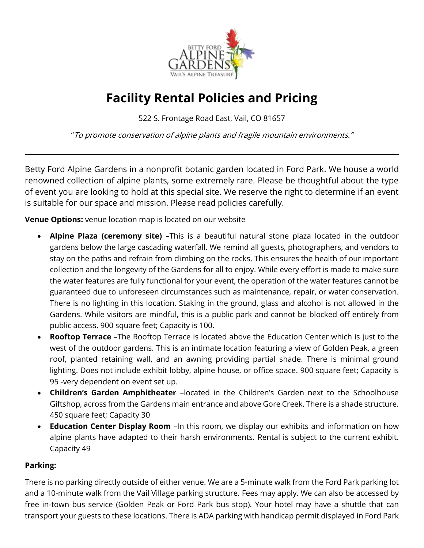

# **Facility Rental Policies and Pricing**

522 S. Frontage Road East, Vail, CO 81657

"To promote conservation of alpine plants and fragile mountain environments."

Betty Ford Alpine Gardens in a nonprofit botanic garden located in Ford Park. We house a world renowned collection of alpine plants, some extremely rare. Please be thoughtful about the type of event you are looking to hold at this special site. We reserve the right to determine if an event is suitable for our space and mission. Please read policies carefully.

**Venue Options:** venue location map is located on our website

- **Alpine Plaza (ceremony site)** –This is a beautiful natural stone plaza located in the outdoor gardens below the large cascading waterfall. We remind all guests, photographers, and vendors to stay on the paths and refrain from climbing on the rocks. This ensures the health of our important collection and the longevity of the Gardens for all to enjoy. While every effort is made to make sure the water features are fully functional for your event, the operation of the water features cannot be guaranteed due to unforeseen circumstances such as maintenance, repair, or water conservation. There is no lighting in this location. Staking in the ground, glass and alcohol is not allowed in the Gardens. While visitors are mindful, this is a public park and cannot be blocked off entirely from public access. 900 square feet; Capacity is 100.
- **Rooftop Terrace** –The Rooftop Terrace is located above the Education Center which is just to the west of the outdoor gardens. This is an intimate location featuring a view of Golden Peak, a green roof, planted retaining wall, and an awning providing partial shade. There is minimal ground lighting. Does not include exhibit lobby, alpine house, or office space. 900 square feet; Capacity is 95 -very dependent on event set up.
- **Children's Garden Amphitheater** –located in the Children's Garden next to the Schoolhouse Giftshop, across from the Gardens main entrance and above Gore Creek. There is a shade structure. 450 square feet; Capacity 30
- **Education Center Display Room** –In this room, we display our exhibits and information on how alpine plants have adapted to their harsh environments. Rental is subject to the current exhibit. Capacity 49

# **Parking:**

There is no parking directly outside of either venue. We are a 5-minute walk from the Ford Park parking lot and a 10-minute walk from the Vail Village parking structure. Fees may apply. We can also be accessed by free in-town bus service (Golden Peak or Ford Park bus stop). Your hotel may have a shuttle that can transport your guests to these locations. There is ADA parking with handicap permit displayed in Ford Park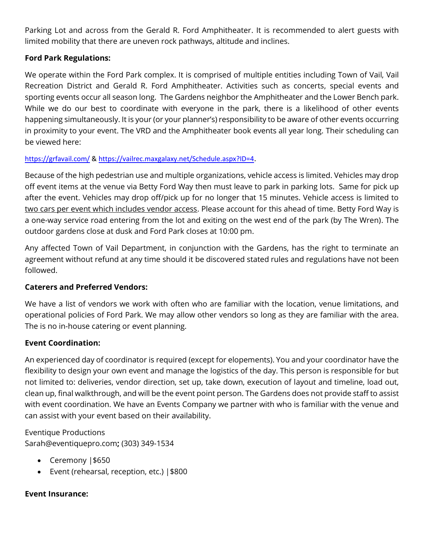Parking Lot and across from the Gerald R. Ford Amphitheater. It is recommended to alert guests with limited mobility that there are uneven rock pathways, altitude and inclines.

## **Ford Park Regulations:**

We operate within the Ford Park complex. It is comprised of multiple entities including Town of Vail, Vail Recreation District and Gerald R. Ford Amphitheater. Activities such as concerts, special events and sporting events occur all season long. The Gardens neighbor the Amphitheater and the Lower Bench park. While we do our best to coordinate with everyone in the park, there is a likelihood of other events happening simultaneously. It is your (or your planner's) responsibility to be aware of other events occurring in proximity to your event. The VRD and the Amphitheater book events all year long. Their scheduling can be viewed here:

## <https://grfavail.com/> &<https://vailrec.maxgalaxy.net/Schedule.aspx?ID=4>.

Because of the high pedestrian use and multiple organizations, vehicle access is limited. Vehicles may drop off event items at the venue via Betty Ford Way then must leave to park in parking lots. Same for pick up after the event. Vehicles may drop off/pick up for no longer that 15 minutes. Vehicle access is limited to two cars per event which includes vendor access. Please account for this ahead of time. Betty Ford Way is a one-way service road entering from the lot and exiting on the west end of the park (by The Wren). The outdoor gardens close at dusk and Ford Park closes at 10:00 pm.

Any affected Town of Vail Department, in conjunction with the Gardens, has the right to terminate an agreement without refund at any time should it be discovered stated rules and regulations have not been followed.

# **Caterers and Preferred Vendors:**

We have a list of vendors we work with often who are familiar with the location, venue limitations, and operational policies of Ford Park. We may allow other vendors so long as they are familiar with the area. The is no in-house catering or event planning.

# **Event Coordination:**

An experienced day of coordinator is required (except for elopements). You and your coordinator have the flexibility to design your own event and manage the logistics of the day. This person is responsible for but not limited to: deliveries, vendor direction, set up, take down, execution of layout and timeline, load out, clean up, final walkthrough, and will be the event point person. The Gardens does not provide staff to assist with event coordination. We have an Events Company we partner with who is familiar with the venue and can assist with your event based on their availability.

Eventique Productions [Sarah@eventiquepro.com](mailto:Sarah@eventiquepro.com)**;** (303) [349-1534](tel:3033491534)

- Ceremony |\$650
- Event (rehearsal, reception, etc.) |\$800

## **Event Insurance:**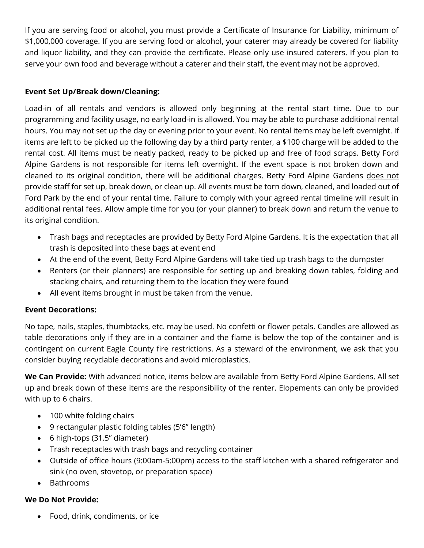If you are serving food or alcohol, you must provide a Certificate of Insurance for Liability, minimum of \$1,000,000 coverage. If you are serving food or alcohol, your caterer may already be covered for liability and liquor liability, and they can provide the certificate. Please only use insured caterers. If you plan to serve your own food and beverage without a caterer and their staff, the event may not be approved.

## **Event Set Up/Break down/Cleaning:**

Load-in of all rentals and vendors is allowed only beginning at the rental start time. Due to our programming and facility usage, no early load-in is allowed. You may be able to purchase additional rental hours. You may not set up the day or evening prior to your event. No rental items may be left overnight. If items are left to be picked up the following day by a third party renter, a \$100 charge will be added to the rental cost. All items must be neatly packed, ready to be picked up and free of food scraps. Betty Ford Alpine Gardens is not responsible for items left overnight. If the event space is not broken down and cleaned to its original condition, there will be additional charges. Betty Ford Alpine Gardens does not provide staff for set up, break down, or clean up. All events must be torn down, cleaned, and loaded out of Ford Park by the end of your rental time. Failure to comply with your agreed rental timeline will result in additional rental fees. Allow ample time for you (or your planner) to break down and return the venue to its original condition.

- Trash bags and receptacles are provided by Betty Ford Alpine Gardens. It is the expectation that all trash is deposited into these bags at event end
- At the end of the event, Betty Ford Alpine Gardens will take tied up trash bags to the dumpster
- Renters (or their planners) are responsible for setting up and breaking down tables, folding and stacking chairs, and returning them to the location they were found
- All event items brought in must be taken from the venue.

# **Event Decorations:**

No tape, nails, staples, thumbtacks, etc. may be used. No confetti or flower petals. Candles are allowed as table decorations only if they are in a container and the flame is below the top of the container and is contingent on current Eagle County fire restrictions. As a steward of the environment, we ask that you consider buying recyclable decorations and avoid microplastics.

**We Can Provide:** With advanced notice, items below are available from Betty Ford Alpine Gardens. All set up and break down of these items are the responsibility of the renter. Elopements can only be provided with up to 6 chairs.

- 100 white folding chairs
- 9 rectangular plastic folding tables (5'6" length)
- 6 high-tops (31.5" diameter)
- Trash receptacles with trash bags and recycling container
- Outside of office hours (9:00am-5:00pm) access to the staff kitchen with a shared refrigerator and sink (no oven, stovetop, or preparation space)
- Bathrooms

# **We Do Not Provide:**

Food, drink, condiments, or ice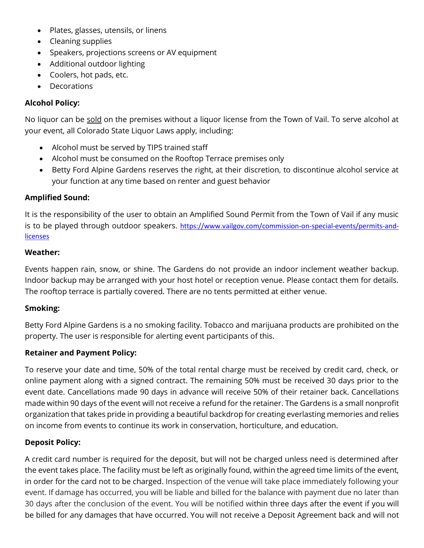- Plates, glasses, utensils, or linens
- Cleaning supplies
- Speakers, projections screens or AV equipment
- Additional outdoor lighting
- Coolers, hot pads, etc.
- Decorations

## **Alcohol Policy:**

No liquor can be sold on the premises without a liquor license from the Town of Vail. To serve alcohol at your event, all Colorado State Liquor Laws apply, including:

- Alcohol must be served by TIPS trained staff
- Alcohol must be consumed on the Rooftop Terrace premises only
- Betty Ford Alpine Gardens reserves the right, at their discretion, to discontinue alcohol service at your function at any time based on renter and guest behavior

## **Amplified Sound:**

It is the responsibility of the user to obtain an Amplified Sound Permit from the Town of Vail if any music is to be played through outdoor speakers. [https://www.vailgov.com/commission-on-special-events/permits-and](https://www.vailgov.com/commission-on-special-events/permits-and-licenses)**[licenses](https://www.vailgov.com/commission-on-special-events/permits-and-licenses)** 

#### **Weather:**

Events happen rain, snow, or shine. The Gardens do not provide an indoor inclement weather backup. Indoor backup may be arranged with your host hotel or reception venue. Please contact them for details. The rooftop terrace is partially covered. There are no tents permitted at either venue.

#### **Smoking:**

Betty Ford Alpine Gardens is a no smoking facility. Tobacco and marijuana products are prohibited on the property. The user is responsible for alerting event participants of this.

#### **Retainer and Payment Policy:**

To reserve your date and time, 50% of the total rental charge must be received by credit card, check, or online payment along with a signed contract. The remaining 50% must be received 30 days prior to the event date. Cancellations made 90 days in advance will receive 50% of their retainer back. Cancellations made within 90 days of the event will not receive a refund for the retainer. The Gardens is a small nonprofit organization that takes pride in providing a beautiful backdrop for creating everlasting memories and relies on income from events to continue its work in conservation, horticulture, and education.

#### **Deposit Policy:**

A credit card number is required for the deposit, but will not be charged unless need is determined after the event takes place. The facility must be left as originally found, within the agreed time limits of the event, in order for the card not to be charged. Inspection of the venue will take place immediately following your event. If damage has occurred, you will be liable and billed for the balance with payment due no later than 30 days after the conclusion of the event. You will be notified within three days after the event if you will be billed for any damages that have occurred. You will not receive a Deposit Agreement back and will not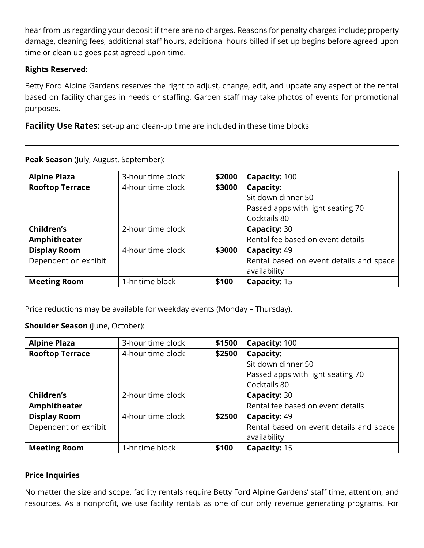hear from us regarding your deposit if there are no charges. Reasons for penalty charges include; property damage, cleaning fees, additional staff hours, additional hours billed if set up begins before agreed upon time or clean up goes past agreed upon time.

#### **Rights Reserved:**

Betty Ford Alpine Gardens reserves the right to adjust, change, edit, and update any aspect of the rental based on facility changes in needs or staffing. Garden staff may take photos of events for promotional purposes.

**Facility Use Rates:** set-up and clean-up time are included in these time blocks

| <b>Alpine Plaza</b>    | 3-hour time block | \$2000 | Capacity: 100                           |
|------------------------|-------------------|--------|-----------------------------------------|
| <b>Rooftop Terrace</b> | 4-hour time block | \$3000 | Capacity:                               |
|                        |                   |        | Sit down dinner 50                      |
|                        |                   |        | Passed apps with light seating 70       |
|                        |                   |        | Cocktails 80                            |
| Children's             | 2-hour time block |        | Capacity: 30                            |
| Amphitheater           |                   |        | Rental fee based on event details       |
| <b>Display Room</b>    | 4-hour time block | \$3000 | Capacity: 49                            |
| Dependent on exhibit   |                   |        | Rental based on event details and space |
|                        |                   |        | availability                            |
| <b>Meeting Room</b>    | 1-hr time block   | \$100  | Capacity: 15                            |

**Peak Season** (July, August, September):

Price reductions may be available for weekday events (Monday – Thursday).

**Shoulder Season** (June, October):

| <b>Alpine Plaza</b>    | 3-hour time block | \$1500 | Capacity: 100                           |
|------------------------|-------------------|--------|-----------------------------------------|
| <b>Rooftop Terrace</b> | 4-hour time block | \$2500 | Capacity:                               |
|                        |                   |        | Sit down dinner 50                      |
|                        |                   |        | Passed apps with light seating 70       |
|                        |                   |        | Cocktails 80                            |
| Children's             | 2-hour time block |        | Capacity: 30                            |
| Amphitheater           |                   |        | Rental fee based on event details       |
| <b>Display Room</b>    | 4-hour time block | \$2500 | Capacity: 49                            |
| Dependent on exhibit   |                   |        | Rental based on event details and space |
|                        |                   |        | availability                            |
| <b>Meeting Room</b>    | 1-hr time block   | \$100  | Capacity: 15                            |

## **Price Inquiries**

No matter the size and scope, facility rentals require Betty Ford Alpine Gardens' staff time, attention, and resources. As a nonprofit, we use facility rentals as one of our only revenue generating programs. For